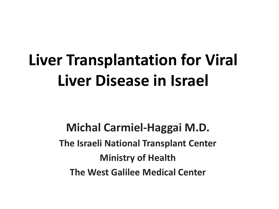**Michal Carmiel-Haggai M.D. The Israeli National Transplant Center Ministry of Health The West Galilee Medical Center**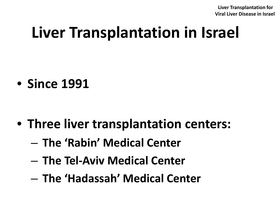# **Liver Transplantation in Israel**

• **Since 1991**

- **Three liver transplantation centers:**
	- **The 'Rabin' Medical Center**
	- **The Tel-Aviv Medical Center**
	- **The 'Hadassah' Medical Center**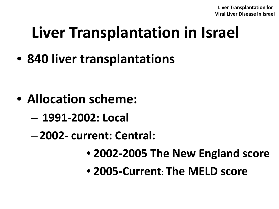# **Liver Transplantation in Israel**

• **840 liver transplantations**

- **Allocation scheme:**
	- **1991-2002: Local**
	- **2002- current: Central:** 
		- **2002-2005 The New England score**
		- **2005-Current: The MELD score**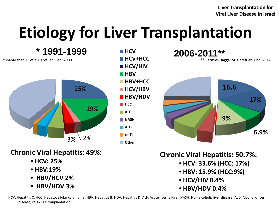# **Etiology for Liver Transplantation**

\*Shaharabani E. et al Harefuah, Sep. 2000 **\* 1991-1999**



#### **Chronic Viral Hepatitis: 49%:**

- **HCV: 25%**
- **HBV:19%**
- • **HBV/HCV 2%**
- • **HBV/HDV 3%**



**2006-2011\*\* HCV** \*\* Carmiel-Haggai M. Harefuah, Dec. 2012



**Chronic Viral Hepatitis: 50.7%:**

- **HCV: 33.6% (HCC: 17%)**
- **HBV: 15.9% (HCC:9%)**
- **HCV/HIV 0.4%**
- **HBV/HDV 0.4%**

HCV: Hepatitis C; HCC: Hepatocellular carcinome; HBV: Hepatitis B; HDV: Hepatitis D; ALF: Acute liver failure; NASH: Non alcoholic liver disease; ALD: Alcoholic liver disease; re-Tx.: re-tranplantation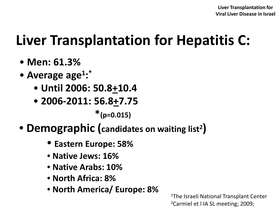### **Liver Transplantation for Hepatitis C:**

- **Men: 61.3%**
- **Average age1: \***
	- **Until 2006: 50.8+10.4**
	- **2006-2011: 56.8+7.75**

 **\*(p=0.015)**

- **Demographic (candidates on waiting list2)**
	- **Eastern Europe: 58%**
	- **Native Jews: 16%**
	- **Native Arabs: 10%**
	- **North Africa: 8%**
	- **North America/ Europe: 8%**

1The Israeli National Transplant Center 2Carmiel et l IA SL meeting; 2009;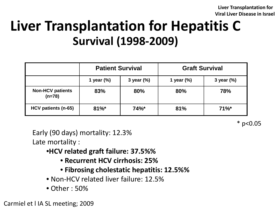### **Liver Transplantation for Hepatitis C Survival (1998-2009)**

|                                     | <b>Patient Survival</b> |               | <b>Graft Survival</b> |               |  |
|-------------------------------------|-------------------------|---------------|-----------------------|---------------|--|
|                                     | 1 year $(\%)$           | 3 year $(\%)$ | 1 year $(\%)$         | 3 year $(\%)$ |  |
| <b>Non-HCV patients</b><br>$(n=78)$ | 83%                     | 80%           | 80%                   | 78%           |  |
| HCV patients (n-65)                 | $81\%$ *                | 74%           | 81%                   | $71\%$ *      |  |

 $*$  p<0.05

Early (90 days) mortality: 12.3% Late mortality :

•**HCV related graft failure: 37.5%%**

- **Recurrent HCV cirrhosis: 25%**
- **Fibrosing cholestatic hepatitis: 12.5%%**
- Non-HCV related liver failure: 12.5%
- Other : 50%

Carmiel et l IA SL meeting; 2009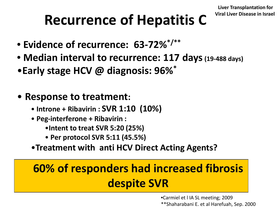## Recurrence of Hepatitis C Viral Liver Disease in Israel

- **Evidence of recurrence: 63-72%\*/\*\***
- **Median interval to recurrence: 117 days(19-488 days)**
- •**Early stage HCV @ diagnosis: 96%\***
- **Response to treatment:**
	- **Introne + Ribavirin : SVR 1:10 (10%)**
	- **Peg-interferone + Ribavirin :** 
		- •**Intent to treat SVR 5:20 (25%)**
		- **Per protocol SVR 5:11 (45.5%)**
	- •**Treatment with anti HCV Direct Acting Agents?**

#### **60% of responders had increased fibrosis despite SVR**

•Carmiel et l IA SL meeting; 2009 \*\*Shaharabani E. et al Harefuah, Sep. 2000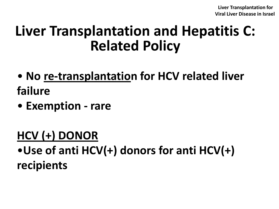### **Liver Transplantation and Hepatitis C: Related Policy**

- **No re-transplantation for HCV related liver failure**
- **Exemption - rare**

#### **HCV (+) DONOR**

•**Use of anti HCV(+) donors for anti HCV(+) recipients**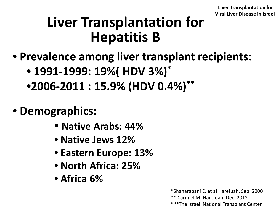### **Liver Transplantation for Hepatitis B**

- **Prevalence among liver transplant recipients:**
	- **1991-1999: 19%( HDV 3%)\***
	- •**2006-2011 : 15.9% (HDV 0.4%)\*\***
- **Demographics:**
	- **Native Arabs: 44%**
	- **Native Jews 12%**
	- **Eastern Europe: 13%**
	- **North Africa: 25%**
	- **Africa 6%**

\*Shaharabani E. et al Harefuah, Sep. 2000

\*\* Carmiel M. Harefuah, Dec. 2012

\*\*\*The Israeli National Transplant Center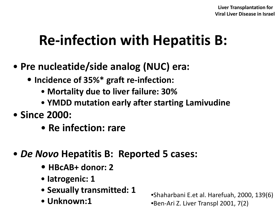### **Re-infection with Hepatitis B:**

- **Pre nucleatide/side analog (NUC) era:**
	- **Incidence of 35%\* graft re-infection:**
		- **Mortality due to liver failure: 30%**
		- **YMDD mutation early after starting Lamivudine**
- **Since 2000:** 
	- **Re infection: rare**
- *De Novo* **Hepatitis B: Reported 5 cases:**
	- **HBcAB+ donor: 2**
	- **Iatrogenic: 1**
	- **Sexually transmitted: 1**
	- **Unknown:1**

•Shaharbani E.et al. Harefuah, 2000, 139(6) •Ben-Ari Z. Liver Transpl 2001, 7(2)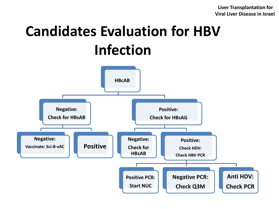### **Candidates Evaluation for HBV Infection**

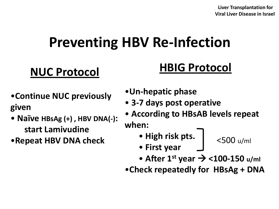### **Preventing HBV Re-Infection**

#### **NUC Protocol**

#### **HBIG Protocol**

- •**Continue NUC previously given**
- **Naïve HBsAg (+) , HBV DNA(-): start Lamivudine**
- •**Repeat HBV DNA check**
- •**Un-hepatic phase**
- **3-7 days post operative**
- **According to HBsAB levels repeat when:**
	- **High risk pts.**
- <500 u/ml
- **First year**
- 
- After 1<sup>st</sup> year  $\rightarrow$  <100-150 u/ml
- •**Check repeatedly for HBsAg + DNA**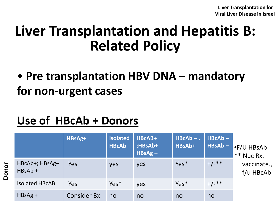### **Liver Transplantation and Hepatitis B: Related Policy**

#### • **Pre transplantation HBV DNA – mandatory for non-urgent cases**

#### **Use of HBcAb + Donors**

**Donor**

|                           | HBsAg+             | <b>Isolated</b><br><b>HBcAb</b> | HBcAB+<br>;HBsAb+<br>$HBSAg -$ | $HBCAb -$ ,<br>HBsAb+ | $HBCAb -$<br>$HBSAb -$ | GF/U HBsAb<br>** Nuc Rx. |
|---------------------------|--------------------|---------------------------------|--------------------------------|-----------------------|------------------------|--------------------------|
| HBcAb+; HBsAg-<br>HBsAb + | Yes                | yes                             | yes                            | $Yes*$                | $+/-$ **               | vaccinate.,<br>f/u HBcAb |
| <b>Isolated HBcAB</b>     | Yes                | $Yes*$                          | yes                            | $Yes*$                | $+/-$ **               |                          |
| $HBSAg +$                 | <b>Consider Bx</b> | no                              | no                             | no                    | no                     |                          |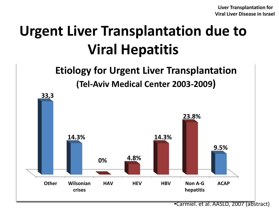## **Urgent Liver Transplantation due to Viral Hepatitis**

#### **Etiology for Urgent Liver Transplantation (Tel-Aviv Medical Center 2003-2009)**



•Carmiel. et al. AASLD, 2007 (abstract)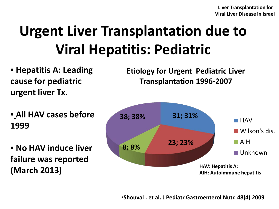### **Urgent Liver Transplantation due to Viral Hepatitis: Pediatric**

• **Hepatitis A: Leading cause for pediatric urgent liver Tx.**

• **All HAV cases before 1999**

• **No HAV induce liver failure was reported (March 2013)**

**Etiology for Urgent Pediatric Liver Transplantation 1996-2007** 

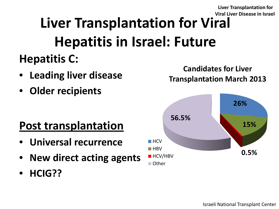#### **Liver Transplantation for Viral Hepatitis in Israel: Future Hepatitis C: Viral Liver Disease in Israel**

- **Leading liver disease**
- **Older recipients**

#### **Post transplantation**

- **Universal recurrence**
- **New direct acting agents**
- **HCIG??**



**Candidates for Liver Transplantation March 2013**

**Liver Transplantation for**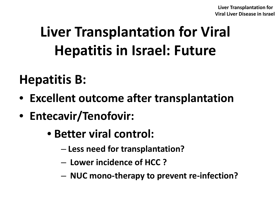# **Liver Transplantation for Viral Hepatitis in Israel: Future**

### **Hepatitis B:**

- **Excellent outcome after transplantation**
- **Entecavir/Tenofovir:**
	- **Better viral control:**
		- **Less need for transplantation?**
		- **Lower incidence of HCC ?**
		- **NUC mono-therapy to prevent re-infection?**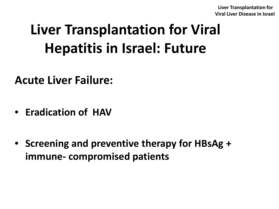## **Liver Transplantation for Viral Hepatitis in Israel: Future**

**Acute Liver Failure:**

- **Eradication of HAV**
- **Screening and preventive therapy for HBsAg + immune- compromised patients**